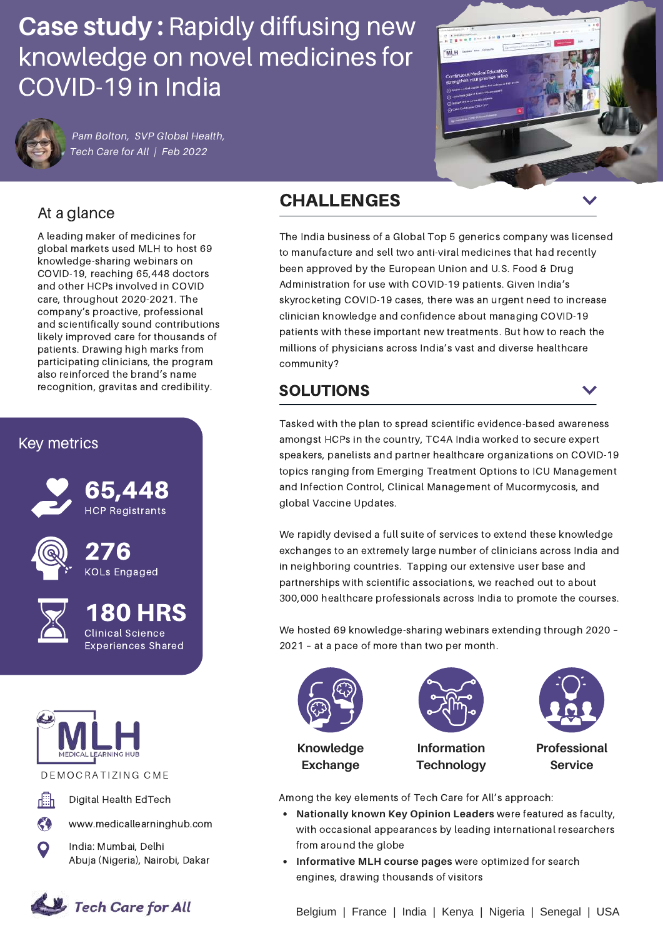# **Case study :** Rapidly diffusing new knowledge on novel medicines for COVID-19 in India



*Pam Bolton, SVP Global Health, Tech Care for All | Feb 2022*



# At a glance

A leading maker of medicines for global markets used MLH to host 69 knowledge-sharing webinars on COVID-19, reaching 65,448 doctors and other HCPs involved in COVID care, throughout 2020-2021. The company's proactive, professional and scientifically sound contributions likely improved care for thousands of patients. Drawing high marks from participating clinicians, the program also reinforced the brand's name recognition, gravitas and credibility.

### Key metrics





180 HRS Clinical Science Experiences Shared



DE MOCRATIZING CME



**CA** 

Digital Health EdTech

www.medicallearninghub.com

India: Mumbai, Delhi Abuja (Nigeria), Nairobi, Dakar



# CHALLENGES

The India business of a Global Top 5 generics company was licensed to manufacture and sell two anti-viral medicines that had recently been approved by the European Union and U.S. Food & Drug Administration for use with COVID-19 patients. Given India's skyrocketing COVID-19 cases, there was an urgent need to increase clinician knowledge and confidence about managing COVID-19 patients with these important new treatments. But how to reach the millions of physicians across India's vast and diverse healthcare community?

## SOLUTIONS

Tasked with the plan to spread scientific evidence-based awareness amongst HCPs in the country, TC4A India worked to secure expert speakers, panelists and partner healthcare organizations on COVID-19 topics ranging from Emerging Treatment Options to ICU Management and Infection Control, Clinical Management of Mucormycosis, and global Vaccine Updates.

We rapidly devised a full suite of services to extend these knowledge exchanges to an extremely large number of clinicians across India and in neighboring countries. Tapping our extensive user base and partnerships with scientific associations, we reached out to about 300,000 healthcare professionals across India to promote the courses.

We hosted 69 knowledge-sharing webinars extending through 2020 – 2021 – at a pace of more than two per month.



Among the key elements of Tech Care for All's approach:

- **Nationally known Key Opinion Leaders** were featured as faculty, with occasional appearances by leading international researchers from around the globe
- **Informative MLH course pages** were optimized for search engines, drawing thousands of visitors